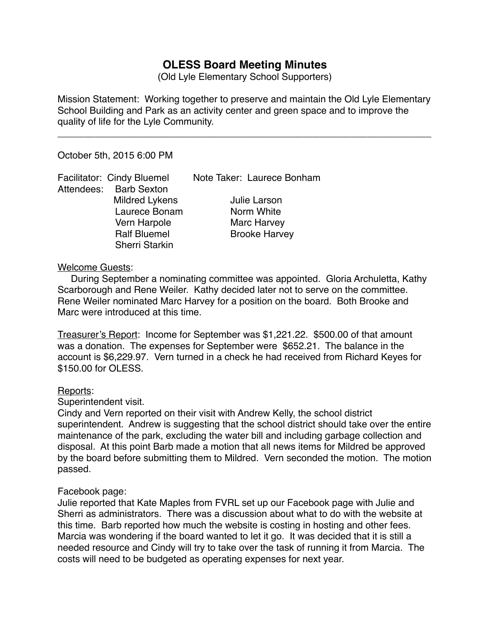# **OLESS Board Meeting Minutes**

(Old Lyle Elementary School Supporters)

Mission Statement: Working together to preserve and maintain the Old Lyle Elementary School Building and Park as an activity center and green space and to improve the quality of life for the Lyle Community.

\_\_\_\_\_\_\_\_\_\_\_\_\_\_\_\_\_\_\_\_\_\_\_\_\_\_\_\_\_\_\_\_\_\_\_\_\_\_\_\_\_\_\_\_\_\_\_\_\_\_\_\_\_\_\_\_\_\_\_\_\_\_\_\_\_\_\_\_\_\_

October 5th, 2015 6:00 PM

Attendees: Barb Sexton Mildred Lykens **Julie Larson** Laurece Bonam Norm White Vern Harpole **Marc Harvey** Sherri Starkin

Facilitator: Cindy Bluemel Note Taker: Laurece Bonham

**Ralf Bluemel 8 | Brooke Harvey** 

#### Welcome Guests:

 During September a nominating committee was appointed. Gloria Archuletta, Kathy Scarborough and Rene Weiler. Kathy decided later not to serve on the committee. Rene Weiler nominated Marc Harvey for a position on the board. Both Brooke and Marc were introduced at this time.

Treasurer's Report: Income for September was \$1,221.22. \$500.00 of that amount was a donation. The expenses for September were \$652.21. The balance in the account is \$6,229.97. Vern turned in a check he had received from Richard Keyes for \$150.00 for OLESS.

## Reports:

Superintendent visit.

Cindy and Vern reported on their visit with Andrew Kelly, the school district superintendent. Andrew is suggesting that the school district should take over the entire maintenance of the park, excluding the water bill and including garbage collection and disposal. At this point Barb made a motion that all news items for Mildred be approved by the board before submitting them to Mildred. Vern seconded the motion. The motion passed.

## Facebook page:

Julie reported that Kate Maples from FVRL set up our Facebook page with Julie and Sherri as administrators. There was a discussion about what to do with the website at this time. Barb reported how much the website is costing in hosting and other fees. Marcia was wondering if the board wanted to let it go. It was decided that it is still a needed resource and Cindy will try to take over the task of running it from Marcia. The costs will need to be budgeted as operating expenses for next year.